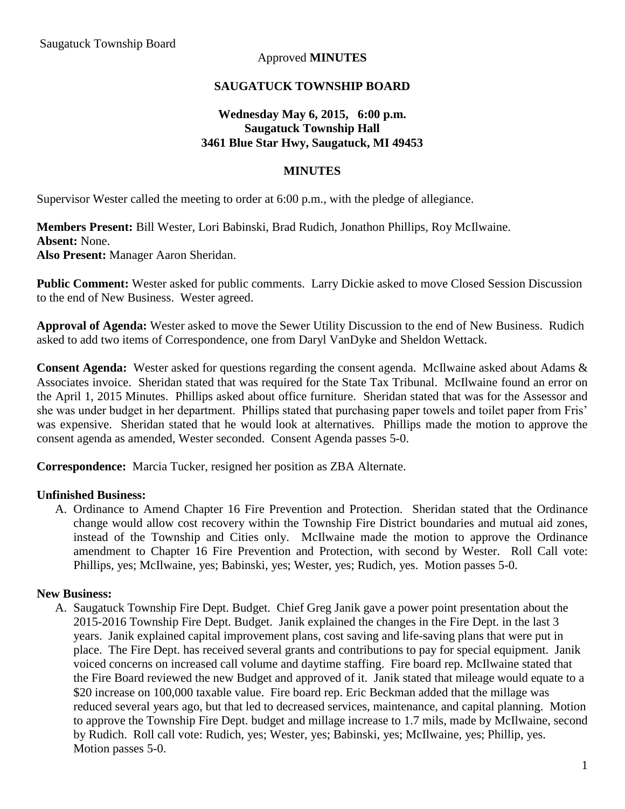## Approved **MINUTES**

## **SAUGATUCK TOWNSHIP BOARD**

## **Wednesday May 6, 2015, 6:00 p.m. Saugatuck Township Hall 3461 Blue Star Hwy, Saugatuck, MI 49453**

#### **MINUTES**

Supervisor Wester called the meeting to order at 6:00 p.m., with the pledge of allegiance.

**Members Present:** Bill Wester, Lori Babinski, Brad Rudich, Jonathon Phillips, Roy McIlwaine. **Absent:** None. **Also Present:** Manager Aaron Sheridan.

**Public Comment:** Wester asked for public comments. Larry Dickie asked to move Closed Session Discussion to the end of New Business. Wester agreed.

**Approval of Agenda:** Wester asked to move the Sewer Utility Discussion to the end of New Business. Rudich asked to add two items of Correspondence, one from Daryl VanDyke and Sheldon Wettack.

**Consent Agenda:** Wester asked for questions regarding the consent agenda. McIlwaine asked about Adams & Associates invoice. Sheridan stated that was required for the State Tax Tribunal. McIlwaine found an error on the April 1, 2015 Minutes. Phillips asked about office furniture. Sheridan stated that was for the Assessor and she was under budget in her department. Phillips stated that purchasing paper towels and toilet paper from Fris' was expensive. Sheridan stated that he would look at alternatives. Phillips made the motion to approve the consent agenda as amended, Wester seconded. Consent Agenda passes 5-0.

**Correspondence:** Marcia Tucker, resigned her position as ZBA Alternate.

#### **Unfinished Business:**

A. Ordinance to Amend Chapter 16 Fire Prevention and Protection. Sheridan stated that the Ordinance change would allow cost recovery within the Township Fire District boundaries and mutual aid zones, instead of the Township and Cities only. McIlwaine made the motion to approve the Ordinance amendment to Chapter 16 Fire Prevention and Protection, with second by Wester. Roll Call vote: Phillips, yes; McIlwaine, yes; Babinski, yes; Wester, yes; Rudich, yes. Motion passes 5-0.

#### **New Business:**

A. Saugatuck Township Fire Dept. Budget. Chief Greg Janik gave a power point presentation about the 2015-2016 Township Fire Dept. Budget. Janik explained the changes in the Fire Dept. in the last 3 years. Janik explained capital improvement plans, cost saving and life-saving plans that were put in place. The Fire Dept. has received several grants and contributions to pay for special equipment. Janik voiced concerns on increased call volume and daytime staffing. Fire board rep. McIlwaine stated that the Fire Board reviewed the new Budget and approved of it. Janik stated that mileage would equate to a \$20 increase on 100,000 taxable value. Fire board rep. Eric Beckman added that the millage was reduced several years ago, but that led to decreased services, maintenance, and capital planning. Motion to approve the Township Fire Dept. budget and millage increase to 1.7 mils, made by McIlwaine, second by Rudich. Roll call vote: Rudich, yes; Wester, yes; Babinski, yes; McIlwaine, yes; Phillip, yes. Motion passes 5-0.